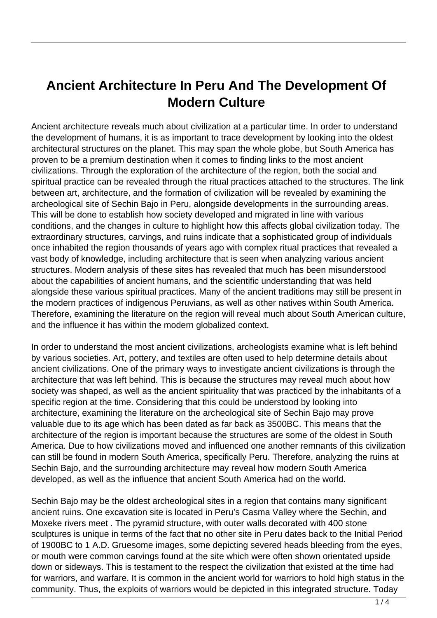## **Ancient Architecture In Peru And The Development Of Modern Culture**

Ancient architecture reveals much about civilization at a particular time. In order to understand the development of humans, it is as important to trace development by looking into the oldest architectural structures on the planet. This may span the whole globe, but South America has proven to be a premium destination when it comes to finding links to the most ancient civilizations. Through the exploration of the architecture of the region, both the social and spiritual practice can be revealed through the ritual practices attached to the structures. The link between art, architecture, and the formation of civilization will be revealed by examining the archeological site of Sechin Bajo in Peru, alongside developments in the surrounding areas. This will be done to establish how society developed and migrated in line with various conditions, and the changes in culture to highlight how this affects global civilization today. The extraordinary structures, carvings, and ruins indicate that a sophisticated group of individuals once inhabited the region thousands of years ago with complex ritual practices that revealed a vast body of knowledge, including architecture that is seen when analyzing various ancient structures. Modern analysis of these sites has revealed that much has been misunderstood about the capabilities of ancient humans, and the scientific understanding that was held alongside these various spiritual practices. Many of the ancient traditions may still be present in the modern practices of indigenous Peruvians, as well as other natives within South America. Therefore, examining the literature on the region will reveal much about South American culture, and the influence it has within the modern globalized context.

In order to understand the most ancient civilizations, archeologists examine what is left behind by various societies. Art, pottery, and textiles are often used to help determine details about ancient civilizations. One of the primary ways to investigate ancient civilizations is through the architecture that was left behind. This is because the structures may reveal much about how society was shaped, as well as the ancient spirituality that was practiced by the inhabitants of a specific region at the time. Considering that this could be understood by looking into architecture, examining the literature on the archeological site of Sechin Bajo may prove valuable due to its age which has been dated as far back as 3500BC. This means that the architecture of the region is important because the structures are some of the oldest in South America. Due to how civilizations moved and influenced one another remnants of this civilization can still be found in modern South America, specifically Peru. Therefore, analyzing the ruins at Sechin Bajo, and the surrounding architecture may reveal how modern South America developed, as well as the influence that ancient South America had on the world.

Sechin Bajo may be the oldest archeological sites in a region that contains many significant ancient ruins. One excavation site is located in Peru's Casma Valley where the Sechin, and Moxeke rivers meet . The pyramid structure, with outer walls decorated with 400 stone sculptures is unique in terms of the fact that no other site in Peru dates back to the Initial Period of 1900BC to 1 A.D. Gruesome images, some depicting severed heads bleeding from the eyes, or mouth were common carvings found at the site which were often shown orientated upside down or sideways. This is testament to the respect the civilization that existed at the time had for warriors, and warfare. It is common in the ancient world for warriors to hold high status in the community. Thus, the exploits of warriors would be depicted in this integrated structure. Today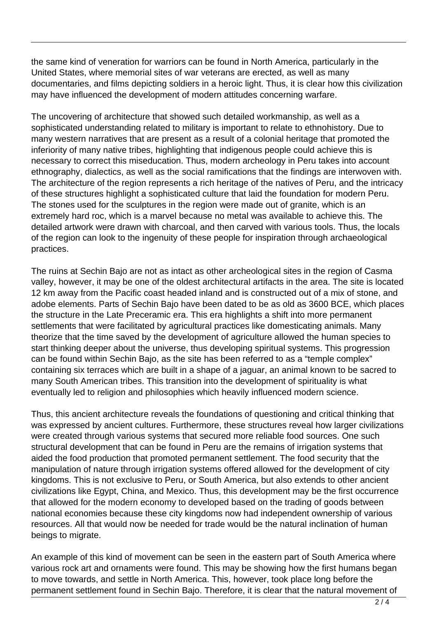the same kind of veneration for warriors can be found in North America, particularly in the United States, where memorial sites of war veterans are erected, as well as many documentaries, and films depicting soldiers in a heroic light. Thus, it is clear how this civilization may have influenced the development of modern attitudes concerning warfare.

The uncovering of architecture that showed such detailed workmanship, as well as a sophisticated understanding related to military is important to relate to ethnohistory. Due to many western narratives that are present as a result of a colonial heritage that promoted the inferiority of many native tribes, highlighting that indigenous people could achieve this is necessary to correct this miseducation. Thus, modern archeology in Peru takes into account ethnography, dialectics, as well as the social ramifications that the findings are interwoven with. The architecture of the region represents a rich heritage of the natives of Peru, and the intricacy of these structures highlight a sophisticated culture that laid the foundation for modern Peru. The stones used for the sculptures in the region were made out of granite, which is an extremely hard roc, which is a marvel because no metal was available to achieve this. The detailed artwork were drawn with charcoal, and then carved with various tools. Thus, the locals of the region can look to the ingenuity of these people for inspiration through archaeological practices.

The ruins at Sechin Bajo are not as intact as other archeological sites in the region of Casma valley, however, it may be one of the oldest architectural artifacts in the area. The site is located 12 km away from the Pacific coast headed inland and is constructed out of a mix of stone, and adobe elements. Parts of Sechin Bajo have been dated to be as old as 3600 BCE, which places the structure in the Late Preceramic era. This era highlights a shift into more permanent settlements that were facilitated by agricultural practices like domesticating animals. Many theorize that the time saved by the development of agriculture allowed the human species to start thinking deeper about the universe, thus developing spiritual systems. This progression can be found within Sechin Bajo, as the site has been referred to as a "temple complex" containing six terraces which are built in a shape of a jaguar, an animal known to be sacred to many South American tribes. This transition into the development of spirituality is what eventually led to religion and philosophies which heavily influenced modern science.

Thus, this ancient architecture reveals the foundations of questioning and critical thinking that was expressed by ancient cultures. Furthermore, these structures reveal how larger civilizations were created through various systems that secured more reliable food sources. One such structural development that can be found in Peru are the remains of irrigation systems that aided the food production that promoted permanent settlement. The food security that the manipulation of nature through irrigation systems offered allowed for the development of city kingdoms. This is not exclusive to Peru, or South America, but also extends to other ancient civilizations like Egypt, China, and Mexico. Thus, this development may be the first occurrence that allowed for the modern economy to developed based on the trading of goods between national economies because these city kingdoms now had independent ownership of various resources. All that would now be needed for trade would be the natural inclination of human beings to migrate.

An example of this kind of movement can be seen in the eastern part of South America where various rock art and ornaments were found. This may be showing how the first humans began to move towards, and settle in North America. This, however, took place long before the permanent settlement found in Sechin Bajo. Therefore, it is clear that the natural movement of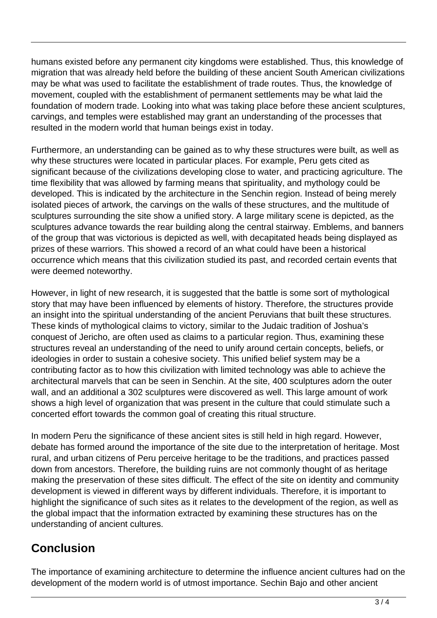humans existed before any permanent city kingdoms were established. Thus, this knowledge of migration that was already held before the building of these ancient South American civilizations may be what was used to facilitate the establishment of trade routes. Thus, the knowledge of movement, coupled with the establishment of permanent settlements may be what laid the foundation of modern trade. Looking into what was taking place before these ancient sculptures, carvings, and temples were established may grant an understanding of the processes that resulted in the modern world that human beings exist in today.

Furthermore, an understanding can be gained as to why these structures were built, as well as why these structures were located in particular places. For example, Peru gets cited as significant because of the civilizations developing close to water, and practicing agriculture. The time flexibility that was allowed by farming means that spirituality, and mythology could be developed. This is indicated by the architecture in the Senchin region. Instead of being merely isolated pieces of artwork, the carvings on the walls of these structures, and the multitude of sculptures surrounding the site show a unified story. A large military scene is depicted, as the sculptures advance towards the rear building along the central stairway. Emblems, and banners of the group that was victorious is depicted as well, with decapitated heads being displayed as prizes of these warriors. This showed a record of an what could have been a historical occurrence which means that this civilization studied its past, and recorded certain events that were deemed noteworthy.

However, in light of new research, it is suggested that the battle is some sort of mythological story that may have been influenced by elements of history. Therefore, the structures provide an insight into the spiritual understanding of the ancient Peruvians that built these structures. These kinds of mythological claims to victory, similar to the Judaic tradition of Joshua's conquest of Jericho, are often used as claims to a particular region. Thus, examining these structures reveal an understanding of the need to unify around certain concepts, beliefs, or ideologies in order to sustain a cohesive society. This unified belief system may be a contributing factor as to how this civilization with limited technology was able to achieve the architectural marvels that can be seen in Senchin. At the site, 400 sculptures adorn the outer wall, and an additional a 302 sculptures were discovered as well. This large amount of work shows a high level of organization that was present in the culture that could stimulate such a concerted effort towards the common goal of creating this ritual structure.

In modern Peru the significance of these ancient sites is still held in high regard. However, debate has formed around the importance of the site due to the interpretation of heritage. Most rural, and urban citizens of Peru perceive heritage to be the traditions, and practices passed down from ancestors. Therefore, the building ruins are not commonly thought of as heritage making the preservation of these sites difficult. The effect of the site on identity and community development is viewed in different ways by different individuals. Therefore, it is important to highlight the significance of such sites as it relates to the development of the region, as well as the global impact that the information extracted by examining these structures has on the understanding of ancient cultures.

## **Conclusion**

The importance of examining architecture to determine the influence ancient cultures had on the development of the modern world is of utmost importance. Sechin Bajo and other ancient